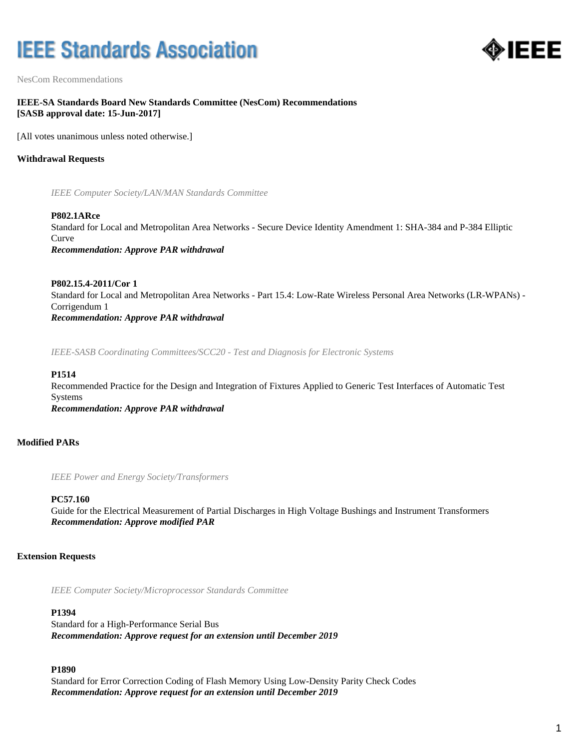# **IEEE Standards Association**



NesCom Recommendations

# **IEEE-SA Standards Board New Standards Committee (NesCom) Recommendations [SASB approval date: 15-Jun-2017]**

[All votes unanimous unless noted otherwise.]

# **Withdrawal Requests**

*IEEE Computer Society/LAN/MAN Standards Committee*

**P802.1ARce** Standard for Local and Metropolitan Area Networks - Secure Device Identity Amendment 1: SHA-384 and P-384 Elliptic Curve *Recommendation: Approve PAR withdrawal*

**P802.15.4-2011/Cor 1** Standard for Local and Metropolitan Area Networks - Part 15.4: Low-Rate Wireless Personal Area Networks (LR-WPANs) - Corrigendum 1 *Recommendation: Approve PAR withdrawal*

*IEEE-SASB Coordinating Committees/SCC20 - Test and Diagnosis for Electronic Systems*

#### **P1514**

Recommended Practice for the Design and Integration of Fixtures Applied to Generic Test Interfaces of Automatic Test Systems *Recommendation: Approve PAR withdrawal*

# **Modified PARs**

*IEEE Power and Energy Society/Transformers*

## **PC57.160**

Guide for the Electrical Measurement of Partial Discharges in High Voltage Bushings and Instrument Transformers *Recommendation: Approve modified PAR*

# **Extension Requests**

*IEEE Computer Society/Microprocessor Standards Committee*

# **P1394**

Standard for a High-Performance Serial Bus *Recommendation: Approve request for an extension until December 2019*

## **P1890**

Standard for Error Correction Coding of Flash Memory Using Low-Density Parity Check Codes *Recommendation: Approve request for an extension until December 2019*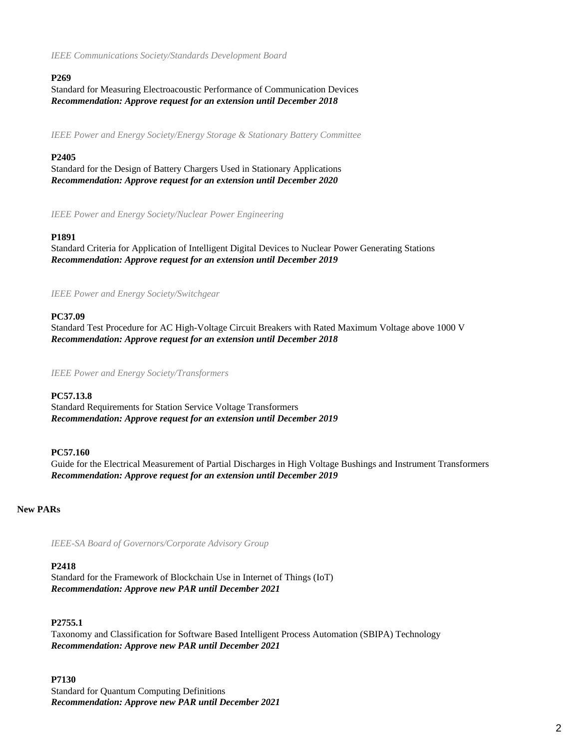*IEEE Communications Society/Standards Development Board*

## **P269**

Standard for Measuring Electroacoustic Performance of Communication Devices *Recommendation: Approve request for an extension until December 2018*

*IEEE Power and Energy Society/Energy Storage & Stationary Battery Committee*

## **P2405**

Standard for the Design of Battery Chargers Used in Stationary Applications *Recommendation: Approve request for an extension until December 2020*

*IEEE Power and Energy Society/Nuclear Power Engineering*

## **P1891**

Standard Criteria for Application of Intelligent Digital Devices to Nuclear Power Generating Stations *Recommendation: Approve request for an extension until December 2019*

*IEEE Power and Energy Society/Switchgear*

## **PC37.09**

Standard Test Procedure for AC High-Voltage Circuit Breakers with Rated Maximum Voltage above 1000 V *Recommendation: Approve request for an extension until December 2018*

*IEEE Power and Energy Society/Transformers*

## **PC57.13.8**

Standard Requirements for Station Service Voltage Transformers *Recommendation: Approve request for an extension until December 2019*

## **PC57.160**

Guide for the Electrical Measurement of Partial Discharges in High Voltage Bushings and Instrument Transformers *Recommendation: Approve request for an extension until December 2019*

## **New PARs**

*IEEE-SA Board of Governors/Corporate Advisory Group*

## **P2418**

Standard for the Framework of Blockchain Use in Internet of Things (IoT) *Recommendation: Approve new PAR until December 2021*

## **P2755.1**

Taxonomy and Classification for Software Based Intelligent Process Automation (SBIPA) Technology *Recommendation: Approve new PAR until December 2021*

## **P7130**

Standard for Quantum Computing Definitions *Recommendation: Approve new PAR until December 2021*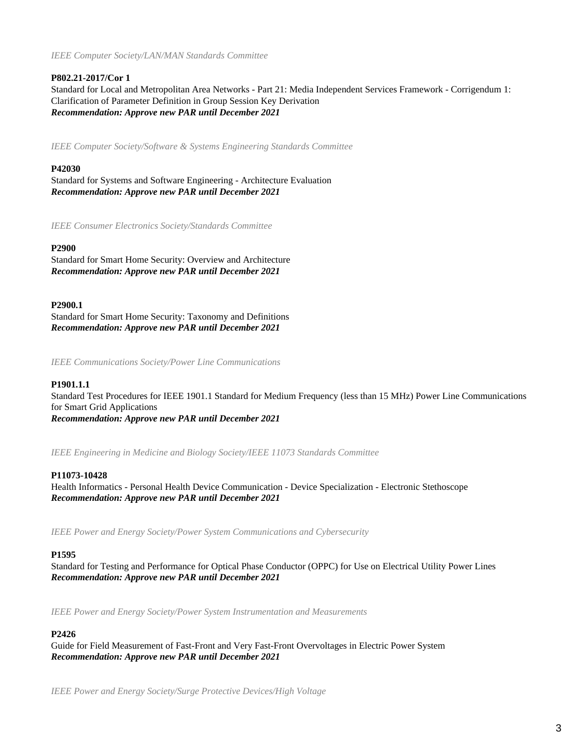*IEEE Computer Society/LAN/MAN Standards Committee*

# **P802.21-2017/Cor 1**

Standard for Local and Metropolitan Area Networks - Part 21: Media Independent Services Framework - Corrigendum 1: Clarification of Parameter Definition in Group Session Key Derivation *Recommendation: Approve new PAR until December 2021*

*IEEE Computer Society/Software & Systems Engineering Standards Committee*

# **P42030**

Standard for Systems and Software Engineering - Architecture Evaluation *Recommendation: Approve new PAR until December 2021*

*IEEE Consumer Electronics Society/Standards Committee*

# **P2900**

Standard for Smart Home Security: Overview and Architecture *Recommendation: Approve new PAR until December 2021*

## **P2900.1**

Standard for Smart Home Security: Taxonomy and Definitions *Recommendation: Approve new PAR until December 2021*

*IEEE Communications Society/Power Line Communications*

# **P1901.1.1**

Standard Test Procedures for IEEE 1901.1 Standard for Medium Frequency (less than 15 MHz) Power Line Communications for Smart Grid Applications *Recommendation: Approve new PAR until December 2021*

*IEEE Engineering in Medicine and Biology Society/IEEE 11073 Standards Committee*

# **P11073-10428**

Health Informatics - Personal Health Device Communication - Device Specialization - Electronic Stethoscope *Recommendation: Approve new PAR until December 2021*

*IEEE Power and Energy Society/Power System Communications and Cybersecurity*

# **P1595**

Standard for Testing and Performance for Optical Phase Conductor (OPPC) for Use on Electrical Utility Power Lines *Recommendation: Approve new PAR until December 2021*

*IEEE Power and Energy Society/Power System Instrumentation and Measurements*

# **P2426**

Guide for Field Measurement of Fast-Front and Very Fast-Front Overvoltages in Electric Power System *Recommendation: Approve new PAR until December 2021*

*IEEE Power and Energy Society/Surge Protective Devices/High Voltage*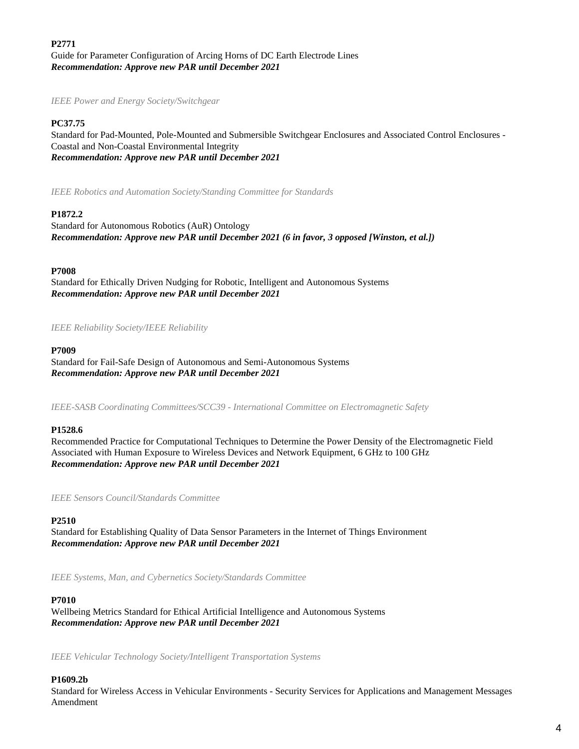**P2771** Guide for Parameter Configuration of Arcing Horns of DC Earth Electrode Lines *Recommendation: Approve new PAR until December 2021*

*IEEE Power and Energy Society/Switchgear*

# **PC37.75**

Standard for Pad-Mounted, Pole-Mounted and Submersible Switchgear Enclosures and Associated Control Enclosures - Coastal and Non-Coastal Environmental Integrity *Recommendation: Approve new PAR until December 2021*

*IEEE Robotics and Automation Society/Standing Committee for Standards*

## **P1872.2**

Standard for Autonomous Robotics (AuR) Ontology *Recommendation: Approve new PAR until December 2021 (6 in favor, 3 opposed [Winston, et al.])*

## **P7008**

Standard for Ethically Driven Nudging for Robotic, Intelligent and Autonomous Systems *Recommendation: Approve new PAR until December 2021*

## *IEEE Reliability Society/IEEE Reliability*

## **P7009**

Standard for Fail-Safe Design of Autonomous and Semi-Autonomous Systems *Recommendation: Approve new PAR until December 2021*

*IEEE-SASB Coordinating Committees/SCC39 - International Committee on Electromagnetic Safety*

## **P1528.6**

Recommended Practice for Computational Techniques to Determine the Power Density of the Electromagnetic Field Associated with Human Exposure to Wireless Devices and Network Equipment, 6 GHz to 100 GHz *Recommendation: Approve new PAR until December 2021*

*IEEE Sensors Council/Standards Committee*

## **P2510**

Standard for Establishing Quality of Data Sensor Parameters in the Internet of Things Environment *Recommendation: Approve new PAR until December 2021*

*IEEE Systems, Man, and Cybernetics Society/Standards Committee*

## **P7010**

Wellbeing Metrics Standard for Ethical Artificial Intelligence and Autonomous Systems *Recommendation: Approve new PAR until December 2021*

*IEEE Vehicular Technology Society/Intelligent Transportation Systems*

## **P1609.2b**

Standard for Wireless Access in Vehicular Environments - Security Services for Applications and Management Messages Amendment